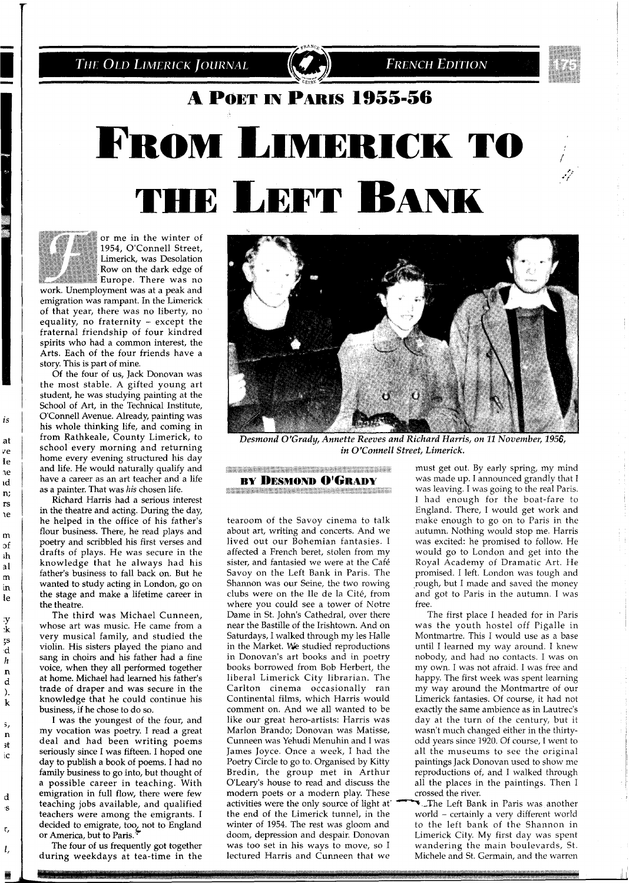The Old Limerick Journal

**FRENCH EDITION** 

## A POET IN PARIS 1955-56

# **FROM LIMERICK TO THE LEFT BANK**



enge<br>1

is

at ve Ie

<sub>1e</sub>

ıd

n;  $rs$ ιe m of  $ih$  $a1$  $\mathbf{m}$ in le

 $\cdot$ y<br>:k ŗs  $\mathbf{d}$  $\boldsymbol{h}$  $\mathbf{n}$ d  $).$  ${\bf k}$ 

ŝ,  $\mathbf n$ 3t ic

d :S

> r, l,

or me in the winter of 1954, O'Connell Street, Limerick, was Desolation Row on the dark edge of Europe. There was no

work. Unemployment was at a peak and emigration was rampant. In the Limerick of that year, there was no liberty, no equality, no fraternity - except the fraternal friendship of four kindred spirits who had a common interest, the Arts. Each of the four friends have a story. This is part of mine.

Of the four of us, Jack Donovan was the most stable. A gifted young art student, he was studying painting at the School of Art, in the Technical Institute, O'Connell Avenue. Already, painting was his whole thinking life, and coming in from Rathkeale, County Limerick, to school every morning and returning home every evening structured his day and life. He would naturally qualify and have a career as an art teacher and a life as a painter. That was **his** chosen life.

Richard Harris had a serious interest in the theatre and acting. During the day, he helped in the office of his father's flour business. There, he read plays and poetry and scribbled his first verses and drafts of plays. He was secure in the knowledge that he always had his father's business to fall back on. But he wanted to study acting in London, go on the stage and make a lifetime career in the theatre.

The third was Michael Cunneen, whose art was music. He came from a very musical family, and studied the violin. His sisters played the piano and sang in choirs and his father had a fine voice, when they all performed together at home. Michael had learned his father's trade of draper and was secure in the knowledge that he could continue his business, if he chose to do so.

I was the youngest of the four, and my vocation was poetry. I read a great deal and had been writing poems seriously since I was fifteen. I hoped one day to publish a book of poems. I had no family business to go into, but thought of a possible career in teaching. With emigration in full flow, there were few teaching jobs available, and qualified teachers were among the emigrants. I decided to emigrate, too, not to England or America, but to Paris.

The four of us frequently got together during weekdays at tea-time in the



Desmond O'Grady, Annette Reeves and Richard Harris, on 11 November, 1956, *in O'Connell Street, Limerick.* 

**CONSIDERATION CONTINUES AND CONSIDERATION BY DESMOND O'GRADY** <u> A Martin Martin Andrew Martin Andrew Martin Andrew Martin Martin Andrew Martin Andrew Martin Andrew Martin Ma</u>

tearoom of the Savoy cinema to talk about art, writing and concerts. And we lived out our Bohemian fantasies. I affected a French beret, stolen from my sister, and fantasied we were at the Cafe Savoy on the Left Bank in Paris. The Shannon was our Seine, the two rowing clubs were on the Ile de la Cite, from where you could see a tower of Notre Dame in St. John's Cathedral, over there near the Bastille of the Irishtown. And on Saturdays, I walked through my les Halle in the Market. We studied reproductions in Donovan's art books and in poetry books borrowed from Bob Herbert, the liberal Limerick City librarian. The Carlton cinema occasionally ran Continental films, which Harris would comment on. And we all wanted to be like our great hero-artists: Harris was Marlon Brando; Donovan was Matisse, Cunneen was Yehudi Menuhin and I was James Joyce. Once a week, I had the Poetry Circle to go to. Organised by Kitty Bredin, the group met in Arthur O'Learv's house to read and discuss the modern poets or a modern play. These activities were the only source of light at -The Left Bank in Paris was another the end of the Limerick tunnel, in the world – certainly a very different world winter of 1954. The rest was gloom and to the left bank of the Shannon in doom, depression and despair. Donovan Limerick City. My first day was spent was too set in his ways to move, so I wandering the main boulevards, St. lectured Harris and Cunneen that we Michele and St. Germain, and the warren

must get out. By early spring, my mind was made up. I announced grandly that I was leaving. I was going to the real Paris. I had enough for the boat-fare to England. There, I would get work and make enough to go on to Paris in the autumn. Nothing would stop me. Harris was excited: he promised to follow. He would go to London and get into the Royal Academy of Dramatic Art. He promised. I left. London was tough and rough, but I made and saved the money and got to Paris in the autumn. I was free.

The first place I headed for in Paris was the youth hostel off Pigalle in Montmartre. This I would use as a base until I learned my way around. I knew nobody, and had-no contacts. I was on my own. I was not afraid. I was free and happy. The first week was spent learning my way around the Montmartre of our Limerick fantasies. Of course, it had not exactly the same ambience as in Lautrec's day at the turn of the century, but it wasn't much changed either in the thirtyodd years since 1920. Of course, I went to all the museums to see the original paintings Jack Donovan used to show me reproductions of, and I walked through all the places in the paintings. Then I crossed the river.

to the left bank of the Shannon in wandering the main boulevards, St.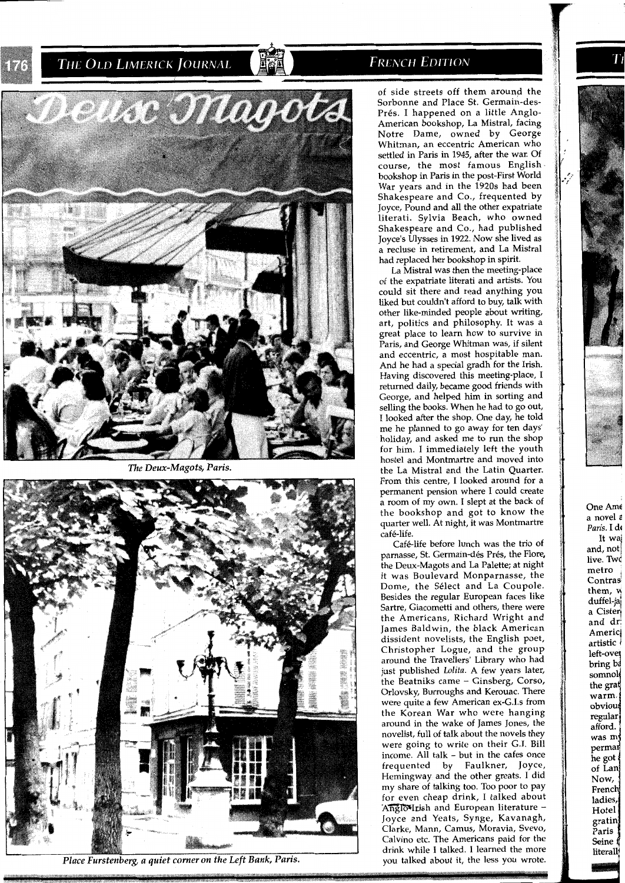THE OLD LIMERICK JOURNAL



*The Deux-Magots, Paris.* 



*Place Furstenberg, a quiet corner on the Left Bank, Paris.* 

#### **FRENCH EDITION**

of side streets off them around the Sorbonne and Place St. Germain-des-Prés. I happened on a little Anglo-American bookshop, La Mistral, facing Notre Dame, owned by George Whitnan, an eccentric American who settled in Paris in 1945, after the war. Of course, the most famous English bookshop in Paris in the post-First World War years and in the 1920s had been Shakespeare and Co., frequented by Joyce, Pound and all the other expatriate literati. Sylvia Beach, who owned Shakespeare and Co., had published Joyce's Ulysses in 1922. Now she lived as a recluse in retirement, and La Mistral had replaced her bookshop in spirit.

La Mistral was then the meeting-place of the expatriate literati and artists. You could sit there and read anything you liked but couldn't afford to buy, talk with other like-minded people about writing, art, politics and philosophy. It was a great place to learn how to survive in Paris, and George Whitman was, if silent and eccentric, a most hospitable man. And he had a special gradh for the Irish. Having discovered this meeting-place, I returned daily, became good friends with George, and helped him in sorting and selling the books. When he had to go out, I looked after the shop. One day, he told me he planned to go away for ten days' holiday, and asked me to run the shop for him. I immediately left the youth hostel and Montmartre and moved into the La Mistral and the Latin Quarter. From this centre, I looked around for a permanent pension where I could create a room of my own. I slept at the back of the bookshop and got to know the quarter well. At night, it was Montmartre cafe-life.

Café-life before lunch was the trio of parnasse, St. Germain-dés Prés, the Flore, the Deux-Magots and La Palette; at night it was Boulevard Monparnasse, the Dome, the Select and La Coupole. Besides the regular European faces like Sartre, Giacometti and others, there were the Americans, Richard Wright and James Baldwin, the black American dissident novelists, the English poet, Christopher Logue, and the group around the Travellers' Library who had just published Lolita. A few years later, the Beatniks came - Ginsberg, Corso, Orlovsky, Burroughs and Kerouac. There were quite a few American ex-G.1.s from the Korean War who were hanging around in the wake of James Jones, the novelist, full of talk about the novels they were going to write on their G.I. Bill income. All talk - but in the cafes once frequented by Faulkner, Joyce, Hemingway and the other greats. I did my share of talking too. Too poor to pay for even cheap drink, I talked about AngloVIrish and European literature -Joyce and Yeats, Synge, Kavanagh, Clarke, Mann, Camus, Moravia, Svevo, Calvino etc. The Americans paid for the drink while I talked. I learned the more you talked about it, the less you wrote. One Am6 a novel *<sup>E</sup>* Paris. I d< It waj<br>and, not, live. Twd metro<br>Contras hem, *u* n<br>duffel-ja a Cisterj and dr: Americi artistic 1 left-over bring ba somnole the grat warm. obvious regular afford. was my permar he got of Lan Now, French ladies, Hotel gratin Paris I Seine f literall

**m0** -